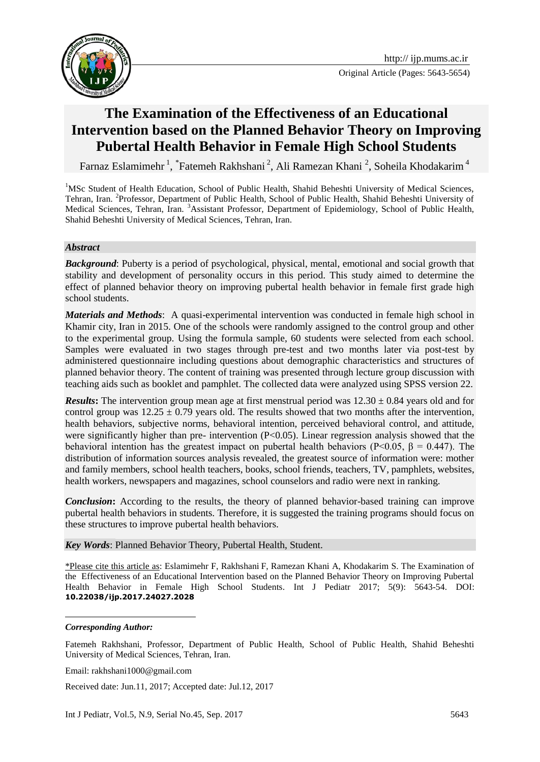

Original Article (Pages: 5643-5654)

# **The Examination of the Effectiveness of an Educational Intervention based on the Planned Behavior Theory on Improving Pubertal Health Behavior in Female High School Students**

Farnaz Eslamimehr<sup>1</sup>, <sup>\*</sup>Fatemeh Rakhshani<sup>2</sup>, Ali Ramezan Khani<sup>2</sup>, Soheila Khodakarim<sup>4</sup>

<sup>1</sup>MSc Student of Health Education, School of Public Health, Shahid Beheshti University of Medical Sciences, Tehran, Iran. <sup>2</sup>Professor, Department of Public Health, School of Public Health, Shahid Beheshti University of Medical Sciences, Tehran, Iran. <sup>3</sup>Assistant Professor, Department of Epidemiology, School of Public Health, Shahid Beheshti University of Medical Sciences, Tehran, Iran.

#### *Abstract*

*Background*: Puberty is a period of psychological, physical, mental, emotional and social growth that stability and development of personality occurs in this period. This study aimed to determine the effect of planned behavior theory on improving pubertal health behavior in female first grade high school students.

*Materials and Methods*: A quasi-experimental intervention was conducted in female high school in Khamir city, Iran in 2015. One of the schools were randomly assigned to the control group and other to the experimental group. Using the formula sample, 60 students were selected from each school. Samples were evaluated in two stages through pre-test and two months later via post-test by administered questionnaire including questions about demographic characteristics and structures of planned behavior theory. The content of training was presented through lecture group discussion with teaching aids such as booklet and pamphlet. The collected data were analyzed using SPSS version 22.

*Results*: The intervention group mean age at first menstrual period was  $12.30 \pm 0.84$  years old and for control group was  $12.25 \pm 0.79$  years old. The results showed that two months after the intervention, health behaviors, subjective norms, behavioral intention, perceived behavioral control, and attitude, were significantly higher than pre- intervention (P<0.05). Linear regression analysis showed that the behavioral intention has the greatest impact on pubertal health behaviors (P<0.05,  $\beta = 0.447$ ). The distribution of information sources analysis revealed, the greatest source of information were: mother and family members, school health teachers, books, school friends, teachers, TV, pamphlets, websites, health workers, newspapers and magazines, school counselors and radio were next in ranking.

*Conclusion*: According to the results, the theory of planned behavior-based training can improve pubertal health behaviors in students. Therefore, it is suggested the training programs should focus on these structures to improve pubertal health behaviors.

*Key Words*: Planned Behavior Theory, Pubertal Health, Student.

\*Please cite this article as: Eslamimehr F, Rakhshani F, Ramezan Khani A, Khodakarim S. The Examination of the Effectiveness of an Educational Intervention based on the Planned Behavior Theory on Improving Pubertal Health Behavior in Female High School Students. Int J Pediatr 2017; 5(9): 5643-54. DOI: **10.22038/ijp.2017.24027.2028**

1

Email: rakhshani1000@gmail.com

Received date: Jun.11, 2017; Accepted date: Jul.12, 2017

*Corresponding Author:*

Fatemeh Rakhshani, Professor, Department of Public Health, School of Public Health, Shahid Beheshti University of Medical Sciences, Tehran, Iran.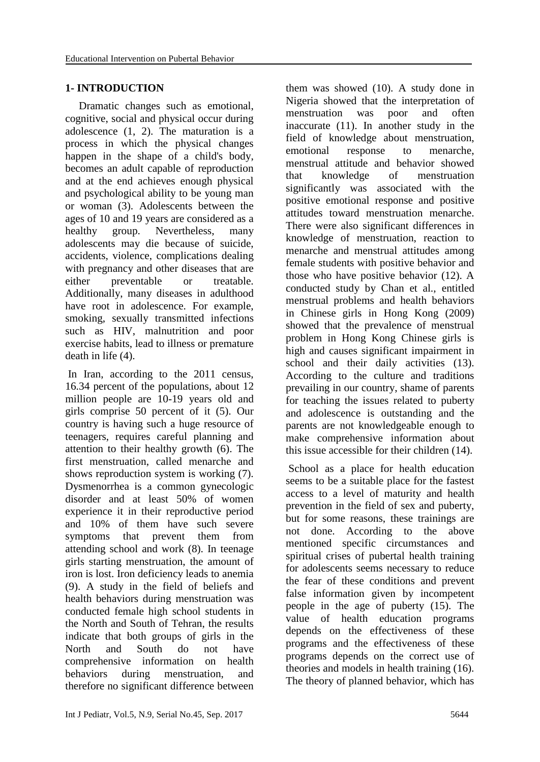#### **1- INTRODUCTION**

 Dramatic changes such as emotional, cognitive, social and physical occur during adolescence (1, 2). The maturation is a process in which the physical changes happen in the shape of a child's body, becomes an adult capable of reproduction and at the end achieves enough physical and psychological ability to be young man or woman (3). Adolescents between the ages of 10 and 19 years are considered as a healthy group. Nevertheless, many adolescents may die because of suicide, accidents, violence, complications dealing with pregnancy and other diseases that are either preventable or treatable. Additionally, many diseases in adulthood have root in adolescence. For example, smoking, sexually transmitted infections such as HIV, malnutrition and poor exercise habits, lead to illness or premature death in life (4).

In Iran, according to the 2011 census, 16.34 percent of the populations, about 12 million people are 10-19 years old and girls comprise 50 percent of it (5). Our country is having such a huge resource of teenagers, requires careful planning and attention to their healthy growth (6). The first menstruation, called menarche and shows reproduction system is working (7). Dysmenorrhea is a common gynecologic disorder and at least 50% of women experience it in their reproductive period and 10% of them have such severe symptoms that prevent them from attending school and work (8). In teenage girls starting menstruation, the amount of iron is lost. Iron deficiency leads to anemia (9). A study in the field of beliefs and health behaviors during menstruation was conducted female high school students in the North and South of Tehran, the results indicate that both groups of girls in the North and South do not have comprehensive information on health behaviors during menstruation, and therefore no significant difference between

them was showed (10). A study done in Nigeria showed that the interpretation of menstruation was poor and often inaccurate (11). In another study in the field of knowledge about menstruation, emotional response to menarche, menstrual attitude and behavior showed that knowledge of menstruation significantly was associated with the positive emotional response and positive attitudes toward menstruation menarche. There were also significant differences in knowledge of menstruation, reaction to menarche and menstrual attitudes among female students with positive behavior and those who have positive behavior (12). A conducted study by Chan et al., entitled menstrual problems and health behaviors in Chinese girls in Hong Kong (2009) showed that the prevalence of menstrual problem in Hong Kong Chinese girls is high and causes significant impairment in school and their daily activities (13). According to the culture and traditions prevailing in our country, shame of parents for teaching the issues related to puberty and adolescence is outstanding and the parents are not knowledgeable enough to make comprehensive information about this issue accessible for their children (14).

School as a place for health education seems to be a suitable place for the fastest access to a level of maturity and health prevention in the field of sex and puberty, but for some reasons, these trainings are not done. According to the above mentioned specific circumstances and spiritual crises of pubertal health training for adolescents seems necessary to reduce the fear of these conditions and prevent false information given by incompetent people in the age of puberty (15). The value of health education programs depends on the effectiveness of these programs and the effectiveness of these programs depends on the correct use of theories and models in health training (16). The theory of planned behavior, which has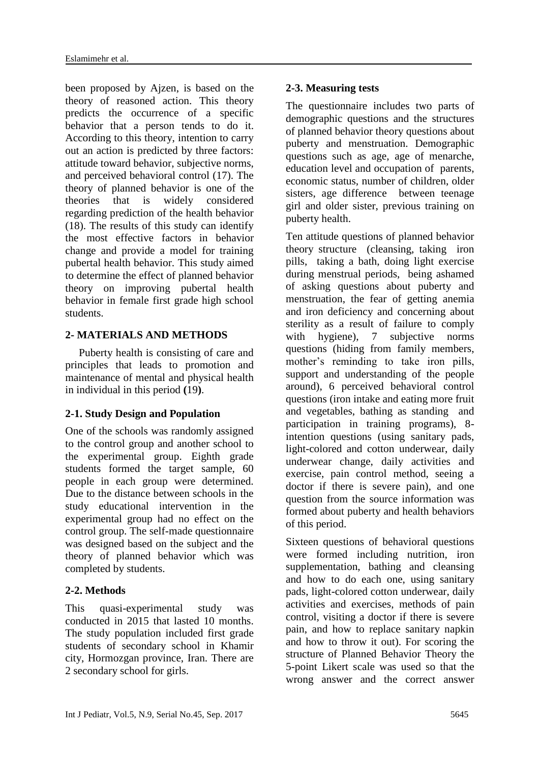been proposed by Ajzen, is based on the theory of reasoned action. This theory predicts the occurrence of a specific behavior that a person tends to do it. According to this theory, intention to carry out an action is predicted by three factors: attitude toward behavior, subjective norms, and perceived behavioral control (17). The theory of planned behavior is one of the theories that is widely considered regarding prediction of the health behavior (18). The results of this study can identify the most effective factors in behavior change and provide a model for training pubertal health behavior. This study aimed to determine the effect of planned behavior theory on improving pubertal health behavior in female first grade high school students.

# **2- MATERIALS AND METHODS**

 Puberty health is consisting of care and principles that leads to promotion and maintenance of mental and physical health in individual in this period **(**19**)**.

# **2-1. Study Design and Population**

One of the schools was randomly assigned to the control group and another school to the experimental group. Eighth grade students formed the target sample, 60 people in each group were determined. Due to the distance between schools in the study educational intervention in the experimental group had no effect on the control group. The self-made questionnaire was designed based on the subject and the theory of planned behavior which was completed by students.

# **2-2. Methods**

This quasi-experimental study was conducted in 2015 that lasted 10 months. The study population included first grade students of secondary school in Khamir city, Hormozgan province, Iran. There are 2 secondary school for girls.

# **2-3. Measuring tests**

The questionnaire includes two parts of demographic questions and the structures of planned behavior theory questions about puberty and menstruation. Demographic questions such as age, age of menarche, education level and occupation of parents, economic status, number of children, older sisters, age difference between teenage girl and older sister, previous training on puberty health.

Ten attitude questions of planned behavior theory structure (cleansing, taking iron pills, taking a bath, doing light exercise during menstrual periods, being ashamed of asking questions about puberty and menstruation, the fear of getting anemia and iron deficiency and concerning about sterility as a result of failure to comply with hygiene), 7 subjective norms questions (hiding from family members, mother's reminding to take iron pills, support and understanding of the people around), 6 perceived behavioral control questions (iron intake and eating more fruit and vegetables, bathing as standing and participation in training programs), 8 intention questions (using sanitary pads, light-colored and cotton underwear, daily underwear change, daily activities and exercise, pain control method, seeing a doctor if there is severe pain), and one question from the source information was formed about puberty and health behaviors of this period.

Sixteen questions of behavioral questions were formed including nutrition, iron supplementation, bathing and cleansing and how to do each one, using sanitary pads, light-colored cotton underwear, daily activities and exercises, methods of pain control, visiting a doctor if there is severe pain, and how to replace sanitary napkin and how to throw it out). For scoring the structure of Planned Behavior Theory the 5-point Likert scale was used so that the wrong answer and the correct answer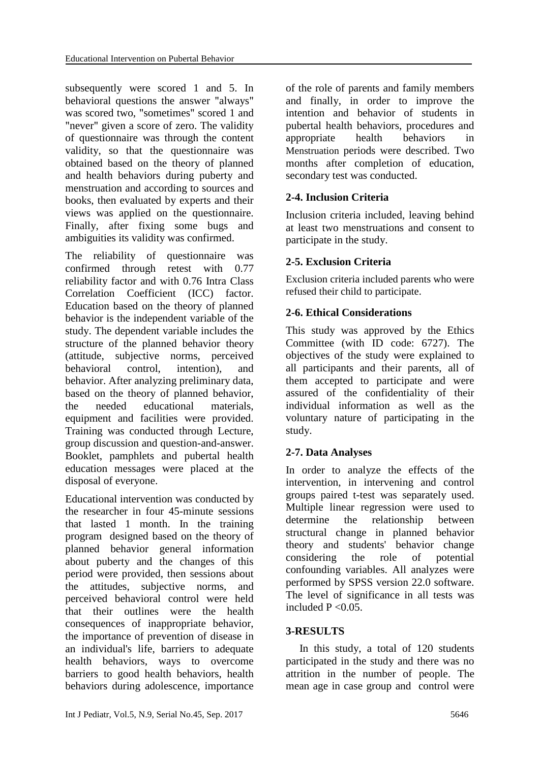subsequently were scored 1 and 5. In behavioral questions the answer "always" was scored two, "sometimes" scored 1 and "never" given a score of zero. The validity of questionnaire was through the content validity, so that the questionnaire was obtained based on the theory of planned and health behaviors during puberty and menstruation and according to sources and books, then evaluated by experts and their views was applied on the questionnaire. Finally, after fixing some bugs and ambiguities its validity was confirmed.

The reliability of questionnaire was confirmed through retest with 0.77 reliability factor and with 0.76 Intra Class Correlation Coefficient (ICC) factor. Education based on the theory of planned behavior is the independent variable of the study. The dependent variable includes the structure of the planned behavior theory (attitude, subjective norms, perceived behavioral control, intention), and behavior. After analyzing preliminary data, based on the theory of planned behavior, the needed educational materials, equipment and facilities were provided. Training was conducted through Lecture, group discussion and question-and-answer. Booklet, pamphlets and pubertal health education messages were placed at the disposal of everyone.

Educational intervention was conducted by the researcher in four 45-minute sessions that lasted 1 month. In the training program designed based on the theory of planned behavior general information about puberty and the changes of this period were provided, then sessions about the attitudes, subjective norms, and perceived behavioral control were held that their outlines were the health consequences of inappropriate behavior, the importance of prevention of disease in an individual's life, barriers to adequate health behaviors, ways to overcome barriers to good health behaviors, health behaviors during adolescence, importance

of the role of parents and family members and finally, in order to improve the intention and behavior of students in pubertal health behaviors, procedures and appropriate health behaviors in Menstruation periods were described. Two months after completion of education, secondary test was conducted.

# **2-4. Inclusion Criteria**

Inclusion criteria included, leaving behind at least two menstruations and consent to participate in the study.

# **2-5. Exclusion Criteria**

Exclusion criteria included parents who were refused their child to participate.

#### **2-6. Ethical Considerations**

This study was approved by the Ethics Committee (with ID code: 6727). The objectives of the study were explained to all participants and their parents, all of them accepted to participate and were assured of the confidentiality of their individual information as well as the voluntary nature of participating in the study.

# **2-7. Data Analyses**

In order to analyze the effects of the intervention, in intervening and control groups paired t-test was separately used. Multiple linear regression were used to determine the relationship between structural change in planned behavior theory and students' behavior change considering the role of potential confounding variables. All analyzes were performed by SPSS version 22.0 software. The level of significance in all tests was included  $P < 0.05$ .

#### **3-RESULTS**

 In this study, a total of 120 students participated in the study and there was no attrition in the number of people. The mean age in case group and control were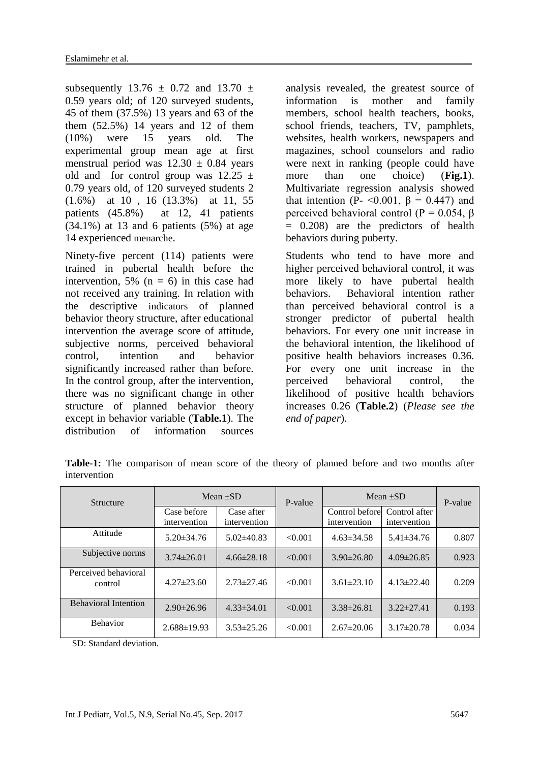subsequently 13.76  $\pm$  0.72 and 13.70  $\pm$ 0.59 years old; of 120 surveyed students, 45 of them (37.5%) 13 years and 63 of the them  $(52.5\%)$  14 years and 12 of them (10%) were 15 years old. The experimental group mean age at first menstrual period was  $12.30 \pm 0.84$  years old and for control group was  $12.25 \pm$ 0.79 years old, of 120 surveyed students 2 (1.6%) at 10 , 16 (13.3%) at 11, 55 patients (45.8%) at 12, 41 patients  $(34.1\%)$  at 13 and 6 patients  $(5\%)$  at age 14 experienced menarche.

Ninety-five percent (114) patients were trained in pubertal health before the intervention, 5% ( $n = 6$ ) in this case had not received any training. In relation with the descriptive indicators of planned behavior theory structure, after educational intervention the average score of attitude, subjective norms, perceived behavioral control, intention and behavior significantly increased rather than before. In the control group, after the intervention, there was no significant change in other structure of planned behavior theory except in behavior variable (**Table.1**). The distribution of information sources

analysis revealed, the greatest source of information is mother and family members, school health teachers, books, school friends, teachers, TV, pamphlets, websites, health workers, newspapers and magazines, school counselors and radio were next in ranking (people could have more than one choice) (**Fig.1**). Multivariate regression analysis showed that intention (P-  $\leq 0.001$ ,  $\beta = 0.447$ ) and perceived behavioral control ( $P = 0.054$ ,  $\beta$ ) = 0.208) are the predictors of health behaviors during puberty.

Students who tend to have more and higher perceived behavioral control, it was more likely to have pubertal health behaviors. Behavioral intention rather than perceived behavioral control is a stronger predictor of pubertal health behaviors. For every one unit increase in the behavioral intention, the likelihood of positive health behaviors increases 0.36. For every one unit increase in the perceived behavioral control, the likelihood of positive health behaviors increases 0.26 (**Table.2**) (*Please see the end of paper*).

**Table-1:** The comparison of mean score of the theory of planned before and two months after intervention

| Structure                       |                             | Mean $\pm SD$              | P-value | Mean $\pm SD$                  | P-value                       |       |  |
|---------------------------------|-----------------------------|----------------------------|---------|--------------------------------|-------------------------------|-------|--|
|                                 | Case before<br>intervention | Case after<br>intervention |         | Control before<br>intervention | Control after<br>intervention |       |  |
| Attitude                        | $5.20 \pm 34.76$            | $5.02\pm40.83$             | < 0.001 | $4.63 \pm 34.58$               | $5.41\pm34.76$                | 0.807 |  |
| Subjective norms                | $3.74\pm26.01$              | $4.66\pm28.18$             | < 0.001 | $3.90\pm26.80$                 | $4.09 \pm 26.85$              | 0.923 |  |
| Perceived behavioral<br>control | $4.27 \pm 23.60$            | $2.73 \pm 27.46$           | < 0.001 | $3.61 \pm 23.10$               | $4.13 \pm 22.40$              | 0.209 |  |
| <b>Behavioral Intention</b>     | $2.90 \pm 26.96$            | $4.33\pm34.01$             | < 0.001 | $3.38\pm26.81$                 | $3.22 \pm 27.41$              | 0.193 |  |
| <b>Behavior</b>                 | $2.688 \pm 19.93$           | $3.53 \pm 25.26$           | < 0.001 | $2.67 \pm 20.06$               | $3.17 \pm 20.78$              | 0.034 |  |

SD: Standard deviation.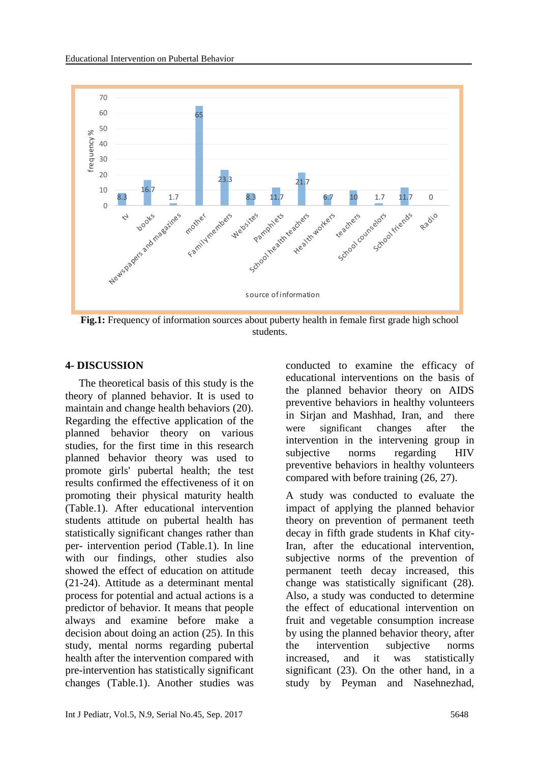

**Fig.1:** Frequency of information sources about puberty health in female first grade high school students.

#### **4- DISCUSSION**

 The theoretical basis of this study is the theory of planned behavior. It is used to maintain and change health behaviors (20). Regarding the effective application of the planned behavior theory on various studies, for the first time in this research planned behavior theory was used to promote girls' pubertal health; the test results confirmed the effectiveness of it on promoting their physical maturity health (Table.1). After educational intervention students attitude on pubertal health has statistically significant changes rather than per- intervention period (Table.1). In line with our findings, other studies also showed the effect of education on attitude (21-24). Attitude as a determinant mental process for potential and actual actions is a predictor of behavior. It means that people always and examine before make a decision about doing an action (25). In this study, mental norms regarding pubertal health after the intervention compared with pre-intervention has statistically significant changes (Table.1). Another studies was conducted to examine the efficacy of educational interventions on the basis of the planned behavior theory on AIDS preventive behaviors in healthy volunteers in Sirjan and Mashhad, Iran, and there were significant changes after the intervention in the intervening group in subjective norms regarding HIV preventive behaviors in healthy volunteers compared with before training (26, 27).

A study was conducted to evaluate the impact of applying the planned behavior theory on prevention of permanent teeth decay in fifth grade students in Khaf city-Iran, after the educational intervention, subjective norms of the prevention of permanent teeth decay increased, this change was statistically significant (28). Also, a study was conducted to determine the effect of educational intervention on fruit and vegetable consumption increase by using the planned behavior theory, after the intervention subjective norms increased, and it was statistically significant (23). On the other hand, in a study by Peyman and Nasehnezhad,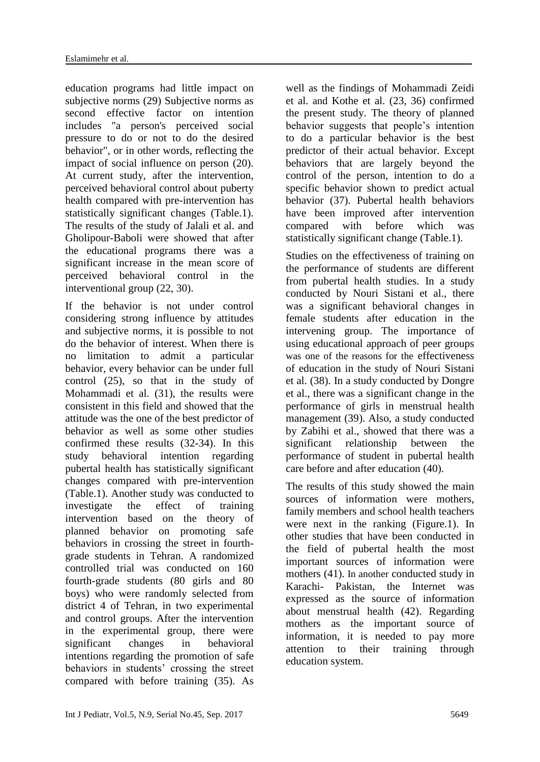education programs had little impact on subjective norms (29) Subjective norms as second effective factor on intention includes "a person's perceived social pressure to do or not to do the desired behavior", or in other words, reflecting the impact of social influence on person (20). At current study, after the intervention, perceived behavioral control about puberty health compared with pre-intervention has statistically significant changes (Table.1). The results of the study of Jalali et al. and Gholipour-Baboli were showed that after the educational programs there was a significant increase in the mean score of perceived behavioral control in the interventional group (22, 30).

If the behavior is not under control considering strong influence by attitudes and subjective norms, it is possible to not do the behavior of interest. When there is no limitation to admit a particular behavior, every behavior can be under full control (25), so that in the study of Mohammadi et al. (31), the results were consistent in this field and showed that the attitude was the one of the best predictor of behavior as well as some other studies confirmed these results (32-34). In this study behavioral intention regarding pubertal health has statistically significant changes compared with pre-intervention (Table.1). Another study was conducted to investigate the effect of training intervention based on the theory of planned behavior on promoting safe behaviors in crossing the street in fourthgrade students in Tehran. A randomized controlled trial was conducted on 160 fourth-grade students (80 girls and 80 boys) who were randomly selected from district 4 of Tehran, in two experimental and control groups. After the intervention in the experimental group, there were significant changes in behavioral intentions regarding the promotion of safe behaviors in students' crossing the street compared with before training (35). As

well as the findings of Mohammadi Zeidi et al. and Kothe et al. (23, 36) confirmed the present study. The theory of planned behavior suggests that people's intention to do a particular behavior is the best predictor of their actual behavior. Except behaviors that are largely beyond the control of the person, intention to do a specific behavior shown to predict actual behavior (37). Pubertal health behaviors have been improved after intervention compared with before which was statistically significant change (Table.1).

Studies on the effectiveness of training on the performance of students are different from pubertal health studies. In a study conducted by Nouri Sistani et al., there was a significant behavioral changes in female students after education in the intervening group. The importance of using educational approach of peer groups was one of the reasons for the effectiveness of education in the study of Nouri Sistani et al. (38). In a study conducted by Dongre et al., there was a significant change in the performance of girls in menstrual health management (39). Also, a study conducted by Zabihi et al., showed that there was a significant relationship between the performance of student in pubertal health care before and after education (40).

The results of this study showed the main sources of information were mothers, family members and school health teachers were next in the ranking (Figure.1). In other studies that have been conducted in the field of pubertal health the most important sources of information were mothers (41). In another conducted study in Karachi- Pakistan, the Internet was expressed as the source of information about menstrual health (42). Regarding mothers as the important source of information, it is needed to pay more attention to their training through education system.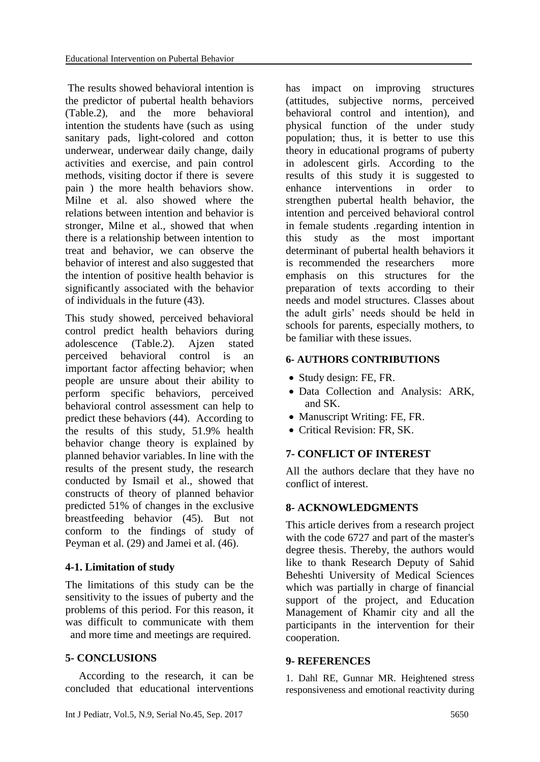The results showed behavioral intention is the predictor of pubertal health behaviors (Table.2), and the more behavioral intention the students have (such as using sanitary pads, light-colored and cotton underwear, underwear daily change, daily activities and exercise, and pain control methods, visiting doctor if there is severe pain ) the more health behaviors show. Milne et al. also showed where the relations between intention and behavior is stronger, Milne et al., showed that when there is a relationship between intention to treat and behavior, we can observe the behavior of interest and also suggested that the intention of positive health behavior is significantly associated with the behavior of individuals in the future (43).

This study showed, perceived behavioral control predict health behaviors during adolescence (Table.2). Ajzen stated perceived behavioral control is an important factor affecting behavior; when people are unsure about their ability to perform specific behaviors, perceived behavioral control assessment can help to predict these behaviors (44). According to the results of this study, 51.9% health behavior change theory is explained by planned behavior variables. In line with the results of the present study, the research conducted by Ismail et al., showed that constructs of theory of planned behavior predicted 51% of changes in the exclusive breastfeeding behavior (45). But not conform to the findings of study of Peyman et al. (29) and Jamei et al. (46).

#### **4-1. Limitation of study**

The limitations of this study can be the sensitivity to the issues of puberty and the problems of this period. For this reason, it was difficult to communicate with them and more time and meetings are required.

# **5- CONCLUSIONS**

 According to the research, it can be concluded that educational interventions

has impact on improving structures (attitudes, subjective norms, perceived behavioral control and intention), and physical function of the under study population; thus, it is better to use this theory in educational programs of puberty in adolescent girls. According to the results of this study it is suggested to enhance interventions in order to strengthen pubertal health behavior, the intention and perceived behavioral control in female students .regarding intention in this study as the most important determinant of pubertal health behaviors it is recommended the researchers more emphasis on this structures for the preparation of texts according to their needs and model structures. Classes about the adult girls' needs should be held in schools for parents, especially mothers, to be familiar with these issues.

#### **6- AUTHORS CONTRIBUTIONS**

- Study design: FE, FR.
- Data Collection and Analysis: ARK, and SK.
- Manuscript Writing: FE, FR.
- Critical Revision: FR, SK.

# **7- CONFLICT OF INTEREST**

All the authors declare that they have no conflict of interest.

# **8- ACKNOWLEDGMENTS**

This article derives from a research project with the code 6727 and part of the master's degree thesis. Thereby, the authors would like to thank Research Deputy of Sahid Beheshti University of Medical Sciences which was partially in charge of financial support of the project, and Education Management of Khamir city and all the participants in the intervention for their cooperation.

#### **9- REFERENCES**

1. Dahl RE, Gunnar MR. Heightened stress responsiveness and emotional reactivity during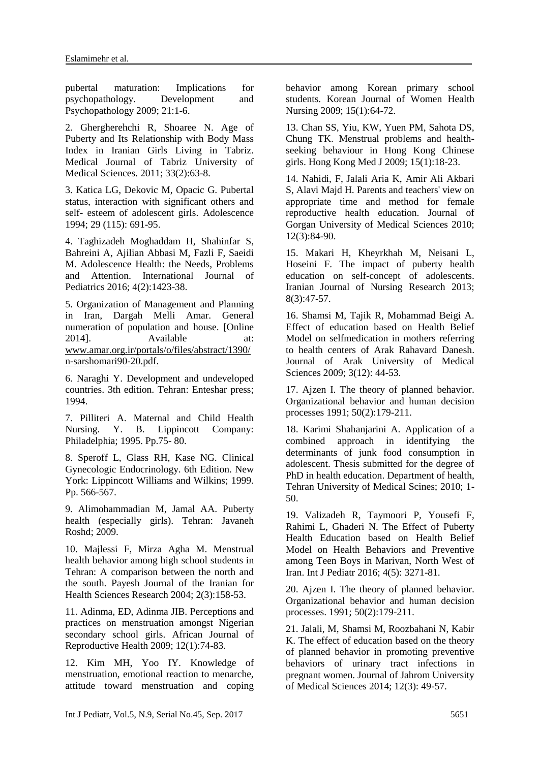pubertal maturation: Implications for psychopathology. Development and Psychopathology 2009; 21:1-6.

2. Ghergherehchi R, Shoaree N. Age of Puberty and Its Relationship with Body Mass Index in Iranian Girls Living in Tabriz. Medical Journal of Tabriz University of Medical Sciences. 2011; 33(2):63-8.

3. Katica LG, Dekovic M, Opacic G. Pubertal status, interaction with significant others and self- esteem of adolescent girls. Adolescence 1994; 29 (115): 691-95.

4. Taghizadeh Moghaddam H, Shahinfar S, Bahreini A, Ajilian Abbasi M, Fazli F, Saeidi M. Adolescence Health: the Needs, Problems and Attention. International Journal of Pediatrics 2016; 4(2):1423-38.

5. Organization of Management and Planning in Iran, Dargah Melli Amar. General numeration of population and house. [Online 2014]. Available at: www.amar.org.ir/portals/o/files/abstract/1390/ n-sarshomari90-20.pdf.

6. Naraghi Y. Development and undeveloped countries. 3th edition. Tehran: Enteshar press; 1994.

7. Pilliteri A. Maternal and Child Health Nursing. Y. B. Lippincott Company: Philadelphia; 1995. Pp.75- 80.

8. Speroff L, Glass RH, Kase NG. Clinical Gynecologic Endocrinology. 6th Edition. New York: Lippincott Williams and Wilkins; 1999. Pp. 566-567.

9. Alimohammadian M, Jamal AA. Puberty health (especially girls). Tehran: Javaneh Roshd; 2009.

10. Majlessi F, Mirza Agha M. Menstrual health behavior among high school students in Tehran: A comparison between the north and the south. Payesh Journal of the Iranian for Health Sciences Research 2004; 2(3):158-53.

11. Adinma, ED, Adinma JIB. Perceptions and practices on menstruation amongst Nigerian secondary school girls. African Journal of Reproductive Health 2009; 12(1):74-83.

12. Kim MH, Yoo IY. Knowledge of menstruation, emotional reaction to menarche, attitude toward menstruation and coping

behavior among Korean primary school students. Korean Journal of Women Health Nursing 2009; 15(1):64-72.

13. Chan SS, Yiu, KW, Yuen PM, Sahota DS, Chung TK. Menstrual problems and healthseeking behaviour in Hong Kong Chinese girls. Hong Kong Med J 2009; 15(1):18-23.

14. Nahidi, F, Jalali Aria K, Amir Ali Akbari S, Alavi Majd H. Parents and teachers' view on appropriate time and method for female reproductive health education. Journal of Gorgan University of Medical Sciences 2010; 12(3):84-90.

15. Makari H, Kheyrkhah M, Neisani L, Hoseini F. The impact of puberty health education on self-concept of adolescents. Iranian Journal of Nursing Research 2013; 8(3):47-57.

16. Shamsi M, Tajik R, Mohammad Beigi A. Effect of education based on Health Belief Model on selfmedication in mothers referring to health centers of Arak Rahavard Danesh. Journal of Arak University of Medical Sciences 2009; 3(12): 44-53.

17. Ajzen I. The theory of planned behavior. Organizational behavior and human decision processes 1991; 50(2):179-211.

18. Karimi Shahanjarini A. Application of a combined approach in identifying the determinants of junk food consumption in adolescent. Thesis submitted for the degree of PhD in health education. Department of health, Tehran University of Medical Scines; 2010; 1- 50.

19. Valizadeh R, Taymoori P, Yousefi F, Rahimi L, Ghaderi N. The Effect of Puberty Health Education based on Health Belief Model on Health Behaviors and Preventive among Teen Boys in Marivan, North West of Iran. Int J Pediatr 2016; 4(5): 3271-81.

20. Ajzen I. The theory of planned behavior. Organizational behavior and human decision processes. 1991; 50(2):179-211.

21. Jalali, M, Shamsi M, Roozbahani N, Kabir K. The effect of education based on the theory of planned behavior in promoting preventive behaviors of urinary tract infections in pregnant women. Journal of Jahrom University of Medical Sciences 2014; 12(3): 49-57.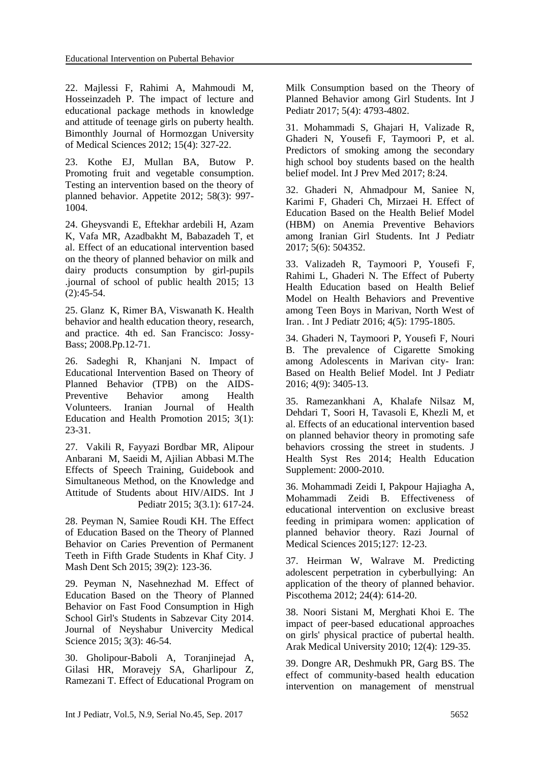22. Majlessi F, Rahimi A, Mahmoudi M, Hosseinzadeh P. The impact of lecture and educational package methods in knowledge and attitude of teenage girls on puberty health. Bimonthly Journal of Hormozgan University of Medical Sciences 2012; 15(4): 327-22.

23. Kothe EJ, Mullan BA, Butow P. Promoting fruit and vegetable consumption. Testing an intervention based on the theory of planned behavior. Appetite 2012; 58(3): 997- 1004.

24. Gheysvandi E, Eftekhar ardebili H, Azam K, Vafa MR, Azadbakht M, Babazadeh T, et al. Effect of an educational intervention based on the theory of planned behavior on milk and dairy products consumption by girl-pupils .journal of school of public health 2015; 13  $(2):45-54.$ 

25. Glanz K, Rimer BA, Viswanath K. Health behavior and health education theory, research, and practice. 4th ed. San Francisco: Jossy-Bass; 2008.Pp.12-71.

26. Sadeghi R, Khanjani N. Impact of Educational Intervention Based on Theory of Planned Behavior (TPB) on the AIDS-Preventive Behavior among Health Volunteers. Iranian Journal of Health Education and Health Promotion 2015; 3(1): 23-31.

27. Vakili R, Fayyazi Bordbar MR, Alipour Anbarani M, Saeidi M, Ajilian Abbasi M.The Effects of Speech Training, Guidebook and Simultaneous Method, on the Knowledge and Attitude of Students about HIV/AIDS. Int J Pediatr 2015; 3(3.1): 617-24.

28. Peyman N, Samiee Roudi KH. The Effect of Education Based on the Theory of Planned Behavior on Caries Prevention of Permanent Teeth in Fifth Grade Students in Khaf City. J Mash Dent Sch 2015; 39(2): 123-36.

29. Peyman N, Nasehnezhad M. Effect of Education Based on the Theory of Planned Behavior on Fast Food Consumption in High School Girl's Students in Sabzevar City 2014. Journal of Neyshabur Univercity Medical Science 2015; 3(3): 46-54.

30. Gholipour-Baboli A, Toranjinejad A, Gilasi HR, Moravejy SA, Gharlipour Z, Ramezani T. Effect of Educational Program on Milk Consumption based on the Theory of Planned Behavior among Girl Students. Int J Pediatr 2017; 5(4): 4793-4802.

31. Mohammadi S, Ghajari H, Valizade R, Ghaderi N, Yousefi F, Taymoori P, et al. Predictors of smoking among the secondary high school boy students based on the health belief model. Int J Prev Med 2017; 8:24.

32. Ghaderi N, Ahmadpour M, Saniee N, Karimi F, Ghaderi Ch, Mirzaei H. Effect of Education Based on the Health Belief Model (HBM) on Anemia Preventive Behaviors among Iranian Girl Students. Int J Pediatr 2017; 5(6): 504352.

33. Valizadeh R, Taymoori P, Yousefi F, Rahimi L, Ghaderi N. The Effect of Puberty Health Education based on Health Belief Model on Health Behaviors and Preventive among Teen Boys in Marivan, North West of Iran. . Int J Pediatr 2016; 4(5): 1795-1805.

34. Ghaderi N, Taymoori P, Yousefi F, Nouri B. The prevalence of Cigarette Smoking among Adolescents in Marivan city- Iran: Based on Health Belief Model. Int J Pediatr 2016; 4(9): 3405-13.

35. Ramezankhani A, Khalafe Nilsaz M, Dehdari T, Soori H, Tavasoli E, Khezli M, et al. Effects of an educational intervention based on planned behavior theory in promoting safe behaviors crossing the street in students. J Health Syst Res 2014; Health Education Supplement: 2000-2010.

36. Mohammadi Zeidi I, Pakpour Hajiagha A, Mohammadi Zeidi B. Effectiveness of educational intervention on exclusive breast feeding in primipara women: application of planned behavior theory. Razi Journal of Medical Sciences 2015;127: 12-23.

37. Heirman W, Walrave M. Predicting adolescent perpetration in cyberbullying: An application of the theory of planned behavior. Piscothema 2012; 24(4): 614-20.

38. Noori Sistani M, Merghati Khoi E. The impact of peer-based educational approaches on girls' physical practice of pubertal health. Arak Medical University 2010; 12(4): 129-35.

39. Dongre AR, Deshmukh PR, Garg BS. The effect of community-based health education intervention on management of menstrual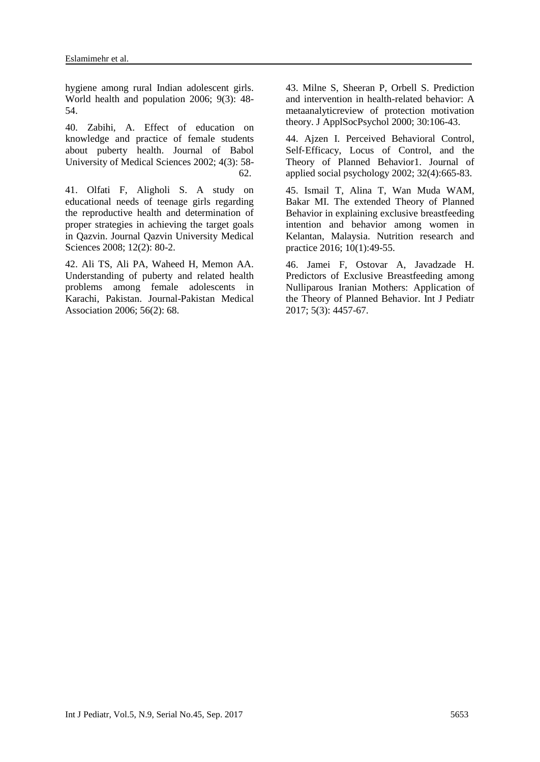hygiene among rural Indian adolescent girls. World health and population 2006; 9(3): 48- 54.

40. Zabihi, A. Effect of education on knowledge and practice of female students about puberty health. Journal of Babol University of Medical Sciences 2002; 4(3): 58- 62.

41. Olfati F, Aligholi S. A study on educational needs of teenage girls regarding the reproductive health and determination of proper strategies in achieving the target goals in Qazvin. Journal Qazvin University Medical Sciences 2008; 12(2): 80-2.

42. Ali TS, Ali PA, Waheed H, Memon AA. Understanding of puberty and related health problems among female adolescents in Karachi, Pakistan. Journal-Pakistan Medical Association 2006; 56(2): 68.

43. Milne S, Sheeran P, Orbell S. Prediction and intervention in health-related behavior: A metaanalyticreview of protection motivation theory. J ApplSocPsychol 2000; 30:106-43.

44. Ajzen I. Perceived Behavioral Control, Self-Efficacy, Locus of Control, and the Theory of Planned Behavior1. Journal of applied social psychology 2002; 32(4):665-83.

45. Ismail T, Alina T, Wan Muda WAM, Bakar MI. The extended Theory of Planned Behavior in explaining exclusive breastfeeding intention and behavior among women in Kelantan, Malaysia. Nutrition research and practice 2016; 10(1):49-55.

46. Jamei F, Ostovar A, Javadzade H. Predictors of Exclusive Breastfeeding among Nulliparous Iranian Mothers: Application of the Theory of Planned Behavior. Int J Pediatr 2017; 5(3): 4457-67.